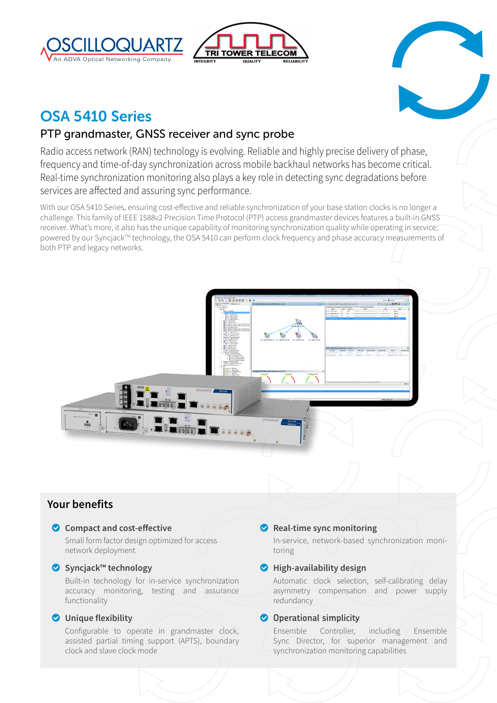





# OSA 5410 Series

## PTP grandmaster, GNSS receiver and sync probe

Radio access network (RAN) technology is evolving. Reliable and highly precise delivery of phase, frequency and time-of-day synchronization across mobile backhaul networks has become critical. Real-time synchronization monitoring also plays a key role in detecting sync degradations before services are affected and assuring sync performance.

With our OSA 5410 Series, ensuring cost-effective and reliable synchronization of your base station clocks is no longer a challenge. This family of IEEE 1588v2 Precision Time Protocol (PTP) access grandmaster devices features a built-in GNSS receiver. What's more, it also has the unique capability of monitoring synchronization quality while operating in service; powered by our Syncjack™ technology, the OSA 5410 can perform clock frequency and phase accuracy measurements of both PTP and legacy networks.



## **Your benefits**

#### o **Compact and cost-effective**

Small form factor design optimized for access network deployment

#### o **Syncjack™ technology**

Built-in technology for in-service synchronization accuracy monitoring, testing and assurance functionality

#### o **Unique flexibility**

Configurable to operate in grandmaster clock, assisted partial timing support (APTS), boundary clock and slave clock mode

### o **Real-time sync monitoring**

In-service, network-based synchronization monitoring

### o **High-availability design**

Automatic clock selection, self-calibrating delay asymmetry compensation and power supply redundancy

#### $\bullet$  Operational simplicity

Ensemble Controller, including Ensemble Sync Director, for superior management and synchronization monitoring capabilities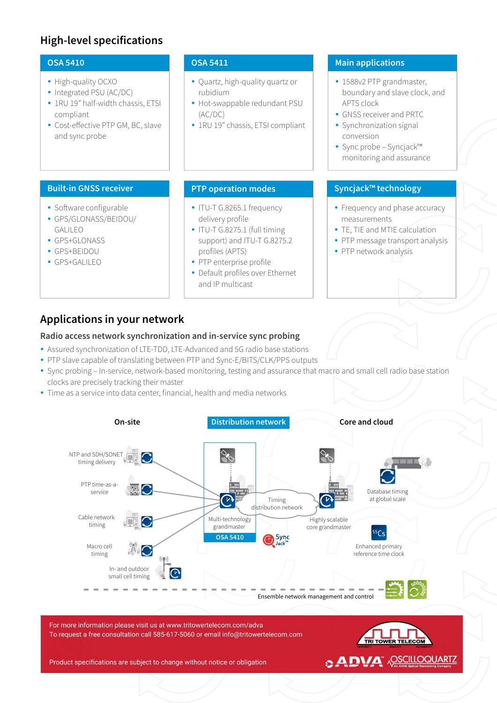#### **OSA 5410**

- High-quality OCXO
- Integrated PSU (AC/DC)
- 1RU 19" half-width chassis, ETSI compliant
- Cost-effective PTP GM, BC, slave and sync probe

#### **Built-in GNSS receiver**

- Software configurable
- y GPS/GLONASS/BEIDOU/ GALILEO
- GPS+GLONASS
- GPS+BEIDOU
- GPS+GALILEO

#### **OSA 5411**

- Quartz, high-quality quartz or rubidium
- Hot-swappable redundant PSU (AC/DC)
- 1RU 19" chassis, ETSI compliant

- ITU-T G.8265.1 frequency delivery profile
- ITU-T G.8275.1 (full timing support) and ITU-T G.8275.2 profiles (APTS)
- PTP enterprise profile
- Default profiles over Ethernet and IP multicast

#### **Main applications**

- 1588v2 PTP grandmaster, boundary and slave clock, and APTS clock
- GNSS receiver and PRTC
- Synchronization signal conversion
- Sync probe Syncjack™ monitoring and assurance

#### **PTP operation modes Syncjack™ technology**

- Frequency and phase accuracy measurements
- TE, TIE and MTIE calculation
- PTP message transport analysis
- PTP network analysis

## **Applications in your network**

#### **Radio access network synchronization and in-service sync probing**

- Assured synchronization of LTE-TDD, LTE-Advanced and 5G radio base stations
- PTP slave capable of translating between PTP and Sync-E/BITS/CLK/PPS outputs
- Sync probing In-service, network-based monitoring, testing and assurance that macro and small cell radio base station clocks are precisely tracking their master
- Time as a service into data center, financial, health and media networks



For more information please visit us at www.tritowertelecom.com/adva To request a free consultation call 585-617-5060 or email info@tritowertelecom.com

Product specifications are subject to change without notice or obligation

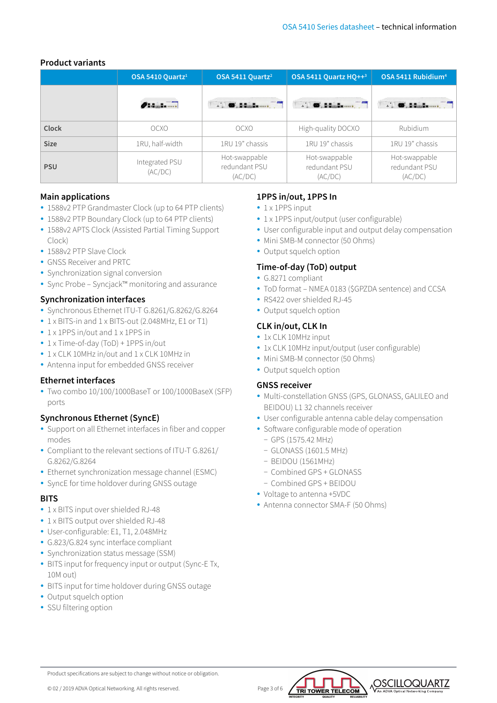#### **Product variants**

|             | OSA 5410 Ouartz <sup>1</sup> | OSA 5411 Ouartz <sup>2</sup>                          | <b>OSA 5411 Quartz HO++3</b>              | OSA 5411 Rubidium <sup>4</sup>            |  |
|-------------|------------------------------|-------------------------------------------------------|-------------------------------------------|-------------------------------------------|--|
|             | <b><i><u>Onana </u></i></b>  | $\blacksquare$ $\blacksquare$ . Hence, $\blacksquare$ |                                           | <b>D. D. Banderman</b>                    |  |
| Clock       | OCXO                         | OCXO                                                  | High-quality DOCXO                        | <b>Rubidium</b>                           |  |
| <b>Size</b> | 1RU, half-width              | 1RU 19" chassis                                       | 1RU 19" chassis                           | 1RU 19" chassis                           |  |
| <b>PSU</b>  | Integrated PSU<br>(AC/DC)    | Hot-swappable<br>redundant PSU<br>(AC/DC)             | Hot-swappable<br>redundant PSU<br>(AC/DC) | Hot-swappable<br>redundant PSU<br>(AC/DC) |  |

#### **Main applications**

- 1588v2 PTP Grandmaster Clock (up to 64 PTP clients)
- 1588v2 PTP Boundary Clock (up to 64 PTP clients)
- 1588v2 APTS Clock (Assisted Partial Timing Support Clock)
- 1588v2 PTP Slave Clock
- GNSS Receiver and PRTC
- Synchronization signal conversion
- Sync Probe Syncjack™ monitoring and assurance

#### **Synchronization interfaces**

- y Synchronous Ethernet ITU-T G.8261/G.8262/G.8264
- 1 x BITS-in and 1 x BITS-out (2.048MHz, E1 or T1)
- 1 x 1PPS in/out and 1 x 1PPS in
- 1 x Time-of-day (ToD) + 1PPS in/out
- 1 x CLK 10MHz in/out and 1 x CLK 10MHz in
- Antenna input for embedded GNSS receiver

#### **Ethernet interfaces**

• Two combo 10/100/1000BaseT or 100/1000BaseX (SFP) ports

#### **Synchronous Ethernet (SyncE)**

- Support on all Ethernet interfaces in fiber and copper modes
- Compliant to the relevant sections of ITU-T G.8261/ G.8262/G.8264
- Ethernet synchronization message channel (ESMC)
- SyncE for time holdover during GNSS outage

#### **BITS**

- 1 x BITS input over shielded RJ-48
- 1 x BITS output over shielded RJ-48
- User-configurable: E1, T1, 2.048MHz
- G.823/G.824 sync interface compliant
- Synchronization status message (SSM)
- BITS input for frequency input or output (Sync-E Tx, 10M out)
- BITS input for time holdover during GNSS outage
- Output squelch option
- SSU filtering option

#### **1PPS in/out, 1PPS In**

- $\cdot$  1 x 1PPS input
- 1 x 1PPS input/output (user configurable)
- User configurable input and output delay compensation
- Mini SMB-M connector (50 Ohms)
- Output squelch option

#### **Time-of-day (ToD) output**

- G.8271 compliant
- ToD format NMEA 0183 (\$GPZDA sentence) and CCSA
- RS422 over shielded RJ-45
- Output squelch option

#### **CLK in/out, CLK In**

- 1x CLK 10MHz input
- 1x CLK 10MHz input/output (user configurable)
- Mini SMB-M connector (50 Ohms)
- Output squelch option

#### **GNSS receiver**

- Multi-constellation GNSS (GPS, GLONASS, GALILEO and BEIDOU) L1 32 channels receiver
- User configurable antenna cable delay compensation
- Software configurable mode of operation
	- − GPS (1575.42 MHz)
	- − GLONASS (1601.5 MHz)
	- − BEIDOU (1561MHz)
	- − Combined GPS + GLONASS
	- − Combined GPS + BEIDOU
- Voltage to antenna +5VDC
- Antenna connector SMA-F (50 Ohms)





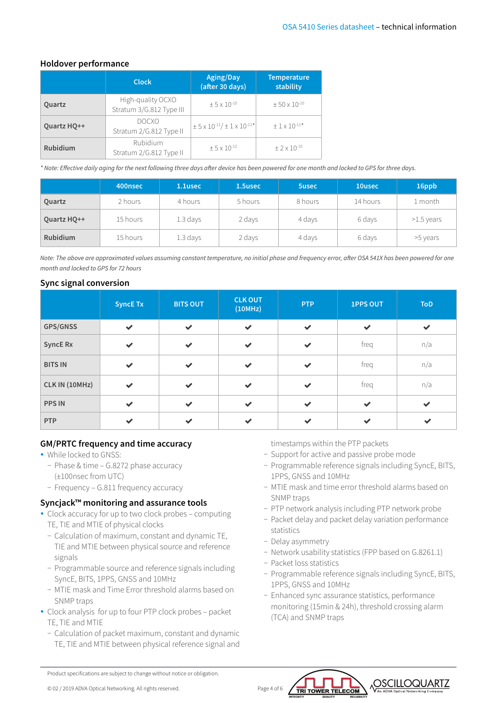#### **Holdover performance**

|                 | <b>Clock</b>                                  | Aging/Day<br>(after 30 days)                               | <b>Temperature</b><br>stability |  |
|-----------------|-----------------------------------------------|------------------------------------------------------------|---------------------------------|--|
| Quartz          | High-quality OCXO<br>Stratum 3/G.812 Type III | $+5 \times 10^{-10}$                                       | $\pm 50 \times 10^{-10}$        |  |
| Quartz HQ++     | <b>DOCXO</b><br>Stratum 2/G.812 Type II       | $\pm$ 5 x 10 <sup>-11</sup> / $\pm$ 1 x 10 <sup>-11*</sup> | $\pm$ 1 x 10 <sup>-11*</sup>    |  |
| <b>Rubidium</b> | Rubidium<br>Stratum 2/G.812 Type II           | $+5 \times 10^{-12}$                                       | $+2 \times 10^{-10}$            |  |

*\* Note: Effective daily aging for the next following three days after device has been powered for one month and locked to GPS for three days.*

|                 | 400nsec  | 1.1usec    | 1.5usec | <b>5usec</b> | 10usec   | 16ppb        |
|-----------------|----------|------------|---------|--------------|----------|--------------|
| Quartz          | 2 hours  | 4 hours    | 5 hours | 8 hours      | 14 hours | 1 month      |
| Quartz HQ++     | 15 hours | $1.3$ days | 2 days  | 4 days       | 6 days   | $>1.5$ years |
| <b>Rubidium</b> | 15 hours | $1.3$ days | 2 days  | 4 days       | 6 days   | >5 years     |

*Note: The above are approximated values assuming constant temperature, no initial phase and frequency error, after OSA 541X has been powered for one month and locked to GPS for 72 hours*

#### **Sync signal conversion**

|                 | <b>SyncE Tx</b> | <b>BITS OUT</b> | <b>CLK OUT</b><br>(10MHz) | <b>PTP</b>   | <b>1PPS OUT</b> | <b>ToD</b>   |
|-----------------|-----------------|-----------------|---------------------------|--------------|-----------------|--------------|
| GPS/GNSS        | $\checkmark$    | $\checkmark$    | $\checkmark$              | $\checkmark$ | $\checkmark$    | $\checkmark$ |
| <b>SyncE Rx</b> | $\checkmark$    | $\checkmark$    | $\checkmark$              | $\checkmark$ | freq            | n/a          |
| <b>BITS IN</b>  | $\checkmark$    | $\checkmark$    | $\checkmark$              | $\checkmark$ | freq            | n/a          |
| CLK IN (10MHz)  | $\checkmark$    | $\checkmark$    | $\checkmark$              | $\checkmark$ | freq            | n/a          |
| <b>PPS IN</b>   | $\checkmark$    | $\checkmark$    | $\checkmark$              | $\checkmark$ | $\checkmark$    | $\checkmark$ |
| PTP             | $\checkmark$    | $\checkmark$    | $\checkmark$              | $\checkmark$ | $\checkmark$    | $\checkmark$ |

#### **GM/PRTC frequency and time accuracy**

- While locked to GNSS:
	- − Phase & time G.8272 phase accuracy (±100nsec from UTC)
	- − Frequency G.811 frequency accuracy

#### **Syncjack™ monitoring and assurance tools**

- Clock accuracy for up to two clock probes computing TE, TIE and MTIE of physical clocks
	- − Calculation of maximum, constant and dynamic TE, TIE and MTIE between physical source and reference signals
	- − Programmable source and reference signals including SyncE, BITS, 1PPS, GNSS and 10MHz
	- − MTIE mask and Time Error threshold alarms based on SNMP traps
- Clock analysis for up to four PTP clock probes packet TE, TIE and MTIE
	- − Calculation of packet maximum, constant and dynamic TE, TIE and MTIE between physical reference signal and

timestamps within the PTP packets

- − Support for active and passive probe mode
- − Programmable reference signals including SyncE, BITS, 1PPS, GNSS and 10MHz
- − MTIE mask and time error threshold alarms based on SNMP traps
- − PTP network analysis including PTP network probe
- − Packet delay and packet delay variation performance statistics
- − Delay asymmetry
- − Network usability statistics (FPP based on G.8261.1)
- − Packet loss statistics
- − Programmable reference signals including SyncE, BITS, 1PPS, GNSS and 10MHz
- − Enhanced sync assurance statistics, performance monitoring (15min & 24h), threshold crossing alarm (TCA) and SNMP traps



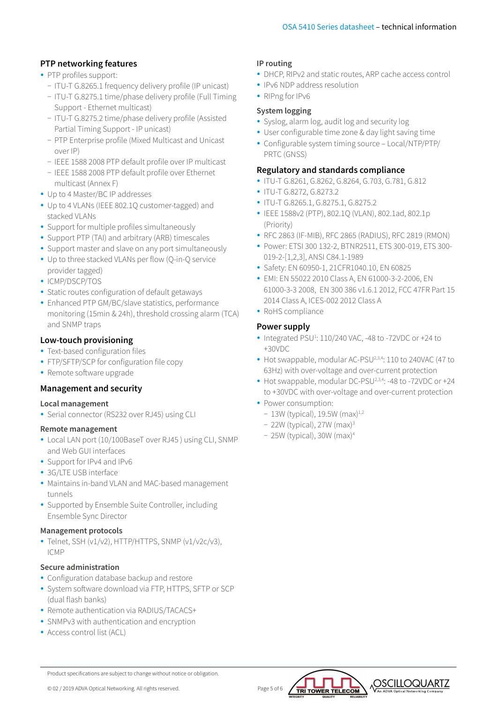#### **PTP networking features**

- PTP profiles support:
	- − ITU-T G.8265.1 frequency delivery profile (IP unicast)
	- − ITU-T G.8275.1 time/phase delivery profile (Full Timing Support - Ethernet multicast)
	- − ITU-T G.8275.2 time/phase delivery profile (Assisted Partial Timing Support - IP unicast)
	- − PTP Enterprise profile (Mixed Multicast and Unicast over IP)
	- − IEEE 1588 2008 PTP default profile over IP multicast
- − IEEE 1588 2008 PTP default profile over Ethernet multicast (Annex F)
- Up to 4 Master/BC IP addresses
- Up to 4 VLANs (IEEE 802.1Q customer-tagged) and stacked VLANs
- Support for multiple profiles simultaneously
- Support PTP (TAI) and arbitrary (ARB) timescales
- Support master and slave on any port simultaneously
- Up to three stacked VLANs per flow (Q-in-Q service provider tagged)
- ICMP/DSCP/TOS
- Static routes configuration of default getaways
- Enhanced PTP GM/BC/slave statistics, performance monitoring (15min & 24h), threshold crossing alarm (TCA) and SNMP traps

#### **Low-touch provisioning**

- Text-based configuration files
- FTP/SFTP/SCP for configuration file copy
- Remote software upgrade

#### **Management and security**

#### **Local management**

• Serial connector (RS232 over RJ45) using CLI

#### **Remote management**

- Local LAN port (10/100BaseT over RJ45) using CLI, SNMP and Web GUI interfaces
- Support for IPv4 and IPv6
- 3G/LTE USB interface
- Maintains in-band VLAN and MAC-based management tunnels
- Supported by Ensemble Suite Controller, including Ensemble Sync Director

#### **Management protocols**

• Telnet, SSH (v1/v2), HTTP/HTTPS, SNMP (v1/v2c/v3), ICMP

#### **Secure administration**

- Configuration database backup and restore
- System software download via FTP, HTTPS, SFTP or SCP (dual flash banks)
- Remote authentication via RADIUS/TACACS+
- SNMPv3 with authentication and encryption
- Access control list (ACL)

#### **IP routing**

- DHCP, RIPv2 and static routes, ARP cache access control
- IPv6 NDP address resolution
- RIPng for IPv6

#### **System logging**

- Syslog, alarm log, audit log and security log
- User configurable time zone & day light saving time
- Configurable system timing source Local/NTP/PTP/ PRTC (GNSS)

#### **Regulatory and standards compliance**

- y ITU-T G.8261, G.8262, G.8264, G.703, G.781, G.812
- ITU-T G.8272, G.8273.2
- y ITU-T G.8265.1, G.8275.1, G.8275.2
- y IEEE 1588v2 (PTP), 802.1Q (VLAN), 802.1ad, 802.1p (Priority)
- RFC 2863 (IF-MIB), RFC 2865 (RADIUS), RFC 2819 (RMON)
- y Power: ETSI 300 132-2, BTNR2511, ETS 300-019, ETS 300- 019-2-[1,2,3], ANSI C84.1-1989
- Safety: EN 60950-1, 21CFR1040.10, EN 60825
- y EMI: EN 55022 2010 Class A, EN 61000-3-2-2006, EN 61000-3-3 2008, EN 300 386 v1.6.1 2012, FCC 47FR Part 15 2014 Class A, ICES-002 2012 Class A
- RoHS compliance

#### **Power supply**

- Integrated PSU<sup>1</sup>: 110/240 VAC, -48 to -72VDC or +24 to +30VDC
- Hot swappable, modular AC-PSU<sup>2,3,4</sup>: 110 to 240VAC (47 to 63Hz) with over-voltage and over-current protection
- Hot swappable, modular DC-PSU<sup>2,3,4</sup>: -48 to -72VDC or +24 to +30VDC with over-voltage and over-current protection
- Power consumption:
	- − 13W (typical), 19.5W (max)1,2
	- − 22W (typical), 27W (max)3
	- − 25W (typical), 30W (max)4